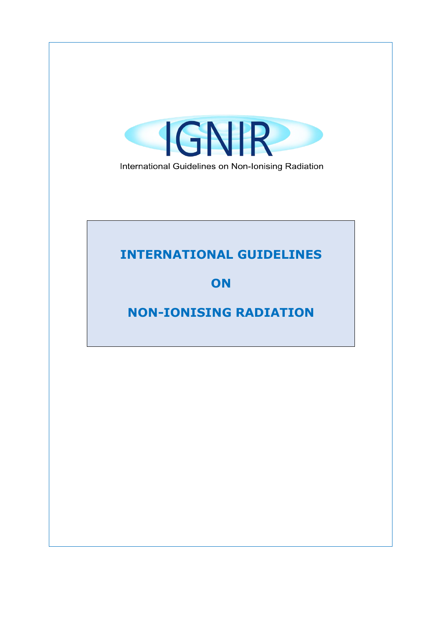

International Guidelines on Non-Ionising Radiation

### **INTERNATIONAL GUIDELINES**

### **ON**

## **NON-IONISING RADIATION**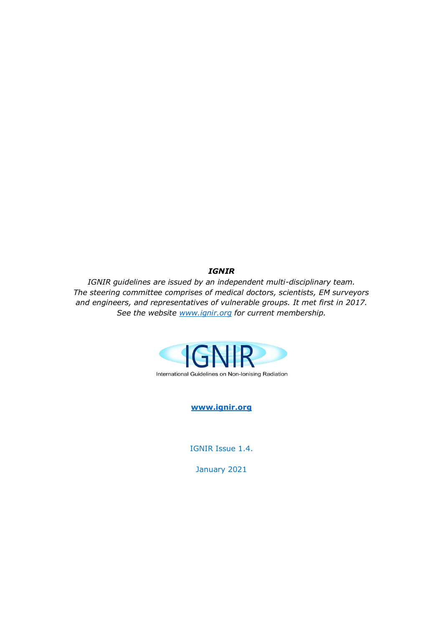*IGNIR*

*IGNIR guidelines are issued by an independent multi-disciplinary team. The steering committee comprises of medical doctors, scientists, EM surveyors and engineers, and representatives of vulnerable groups. It met first in 2017. See the website [www.ignir.org](http://www.ignir.org/) for current membership.*



**[www.ignir.org](http://www.ignir.org/)**

IGNIR Issue 1.4.

January 2021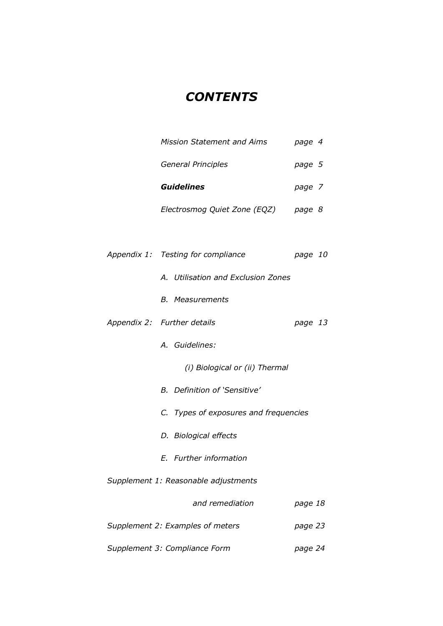## *CONTENTS*

| <b>Mission Statement and Aims</b>     | page 4  |
|---------------------------------------|---------|
| General Principles                    | page 5  |
| <b>Guidelines</b>                     | page 7  |
| Electrosmog Quiet Zone (EQZ) page 8   |         |
|                                       |         |
| Appendix 1: Testing for compliance    | page 10 |
| A. Utilisation and Exclusion Zones    |         |
| <b>B.</b> Measurements                |         |
| Appendix 2: Further details           | page 13 |
| A. Guidelines:                        |         |
| (i) Biological or (ii) Thermal        |         |
| <b>B.</b> Definition of 'Sensitive'   |         |
| C. Types of exposures and frequencies |         |
| D. Biological effects                 |         |
| E. Further information                |         |
| Supplement 1: Reasonable adjustments  |         |
| and remediation                       | page 18 |
| Supplement 2: Examples of meters      | page 23 |

*Supplement 3: Compliance Form page 24*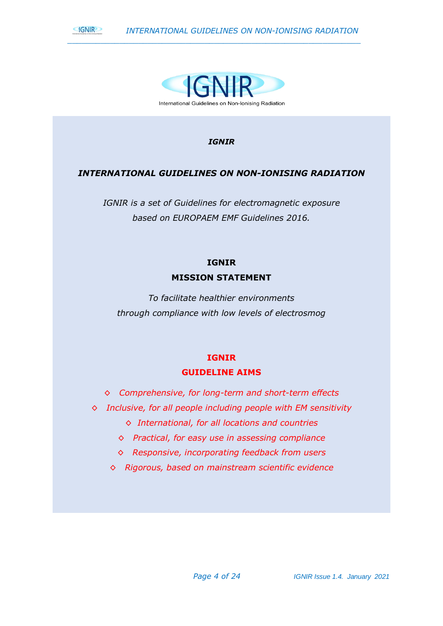



#### *IGNIR*

#### *INTERNATIONAL GUIDELINES ON NON-IONISING RADIATION*

*IGNIR is a set of Guidelines for electromagnetic exposure based on EUROPAEM EMF Guidelines 2016.*

### **IGNIR MISSION STATEMENT**

*To facilitate healthier environments through compliance with low levels of electrosmog*

### **IGNIR GUIDELINE AIMS**

*◊ Comprehensive, for long-term and short-term effects*

- *◊ Inclusive, for all people including people with EM sensitivity*
	- *◊ International, for all locations and countries*
	- *◊ Practical, for easy use in assessing compliance*
	- *◊ Responsive, incorporating feedback from users*
	- *◊ Rigorous, based on mainstream scientific evidence*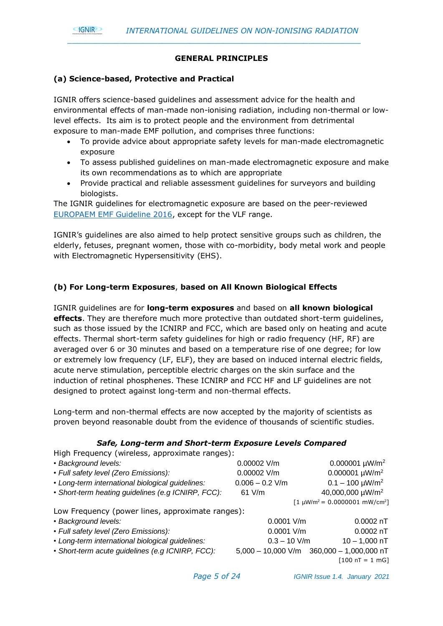#### **GNIR**

#### **GENERAL PRINCIPLES**

*\_\_\_\_\_\_\_\_\_\_\_\_\_\_\_\_\_\_\_\_\_\_\_\_\_\_\_\_\_\_\_\_\_\_\_\_\_\_\_\_\_\_\_\_\_\_\_\_\_\_\_\_\_\_\_\_\_\_\_\_\_\_*

#### **(a) Science-based, Protective and Practical**

IGNIR offers science-based guidelines and assessment advice for the health and environmental effects of man-made non-ionising radiation, including non-thermal or lowlevel effects. Its aim is to protect people and the environment from detrimental exposure to man-made EMF pollution, and comprises three functions:

- To provide advice about appropriate safety levels for man-made electromagnetic exposure
- To assess published guidelines on man-made electromagnetic exposure and make its own recommendations as to which are appropriate
- Provide practical and reliable assessment guidelines for surveyors and building biologists.

The IGNIR guidelines for electromagnetic exposure are based on the peer-reviewed [EUROPAEM EMF Guideline 2016,](https://www.degruyter.com/downloadpdf/j/reveh.2016.31.issue-3/reveh-2016-0011/reveh-2016-0011.pdf) except for the VLF range.

IGNIR's guidelines are also aimed to help protect sensitive groups such as children, the elderly, fetuses, pregnant women, those with co-morbidity, body metal work and people with Electromagnetic Hypersensitivity (EHS).

#### **(b) For Long-term Exposures**, **based on All Known Biological Effects**

IGNIR guidelines are for **long-term exposures** and based on **all known biological effects**. They are therefore much more protective than outdated short-term guidelines, such as those issued by the ICNIRP and FCC, which are based only on heating and acute effects. Thermal short-term safety guidelines for high or radio frequency (HF, RF) are averaged over 6 or 30 minutes and based on a temperature rise of one degree; for low or extremely low frequency (LF, ELF), they are based on induced internal electric fields, acute nerve stimulation, perceptible electric charges on the skin surface and the induction of retinal phosphenes. These ICNIRP and FCC HF and LF guidelines are not designed to protect against long-term and non-thermal effects.

Long-term and non-thermal effects are now accepted by the majority of scientists as proven beyond reasonable doubt from the evidence of thousands of scientific studies.

#### *Safe, Long-term and Short-term Exposure Levels Compared*

High Frequency (wireless, approximate ranges):

| • Background levels:                               | $0.00002$ V/m     | $0.000001 \mu W/m^2$                          |
|----------------------------------------------------|-------------------|-----------------------------------------------|
| • Full safety level (Zero Emissions):              | $0.00002$ V/m     | 0.000001 $\mu$ W/m <sup>2</sup>               |
| • Long-term international biological guidelines:   | $0.006 - 0.2$ V/m | $0.1 - 100 \mu W/m^2$                         |
| • Short-term heating guidelines (e.g ICNIRP, FCC): | $61$ V/m          | 40,000,000 µW/m <sup>2</sup>                  |
|                                                    |                   | $[1 \mu W/m^2 = 0.0000001 \ mW/cm^2]$         |
| Low Frequency (power lines, approximate ranges):   |                   |                                               |
| • Background levels:                               | $0.0001$ V/m      | $0.0002$ nT                                   |
| • Full safety level (Zero Emissions):              | $0.0001$ V/m      | $0.0002$ nT                                   |
| • Long-term international biological guidelines:   | $0.3 - 10$ V/m    | $10 - 1,000$ nT                               |
| · Short-term acute guidelines (e.g ICNIRP, FCC):   |                   | $5,000 - 10,000$ V/m $360,000 - 1,000,000$ nT |
|                                                    |                   | $[100 nT = 1 mG]$                             |
|                                                    |                   |                                               |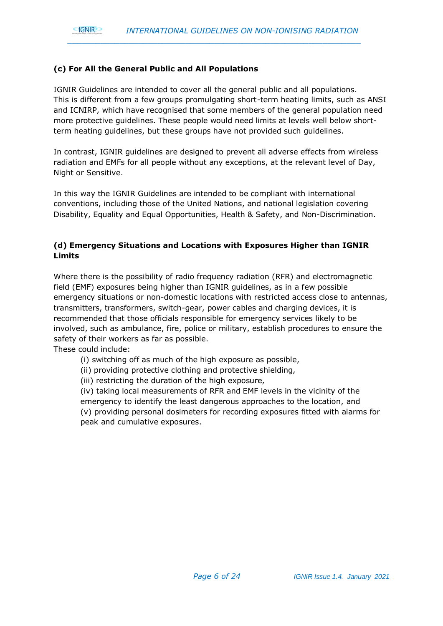#### **(c) For All the General Public and All Populations**

IGNIR Guidelines are intended to cover all the general public and all populations. This is different from a few groups promulgating short-term heating limits, such as ANSI and ICNIRP, which have recognised that some members of the general population need more protective guidelines. These people would need limits at levels well below shortterm heating guidelines, but these groups have not provided such guidelines.

*\_\_\_\_\_\_\_\_\_\_\_\_\_\_\_\_\_\_\_\_\_\_\_\_\_\_\_\_\_\_\_\_\_\_\_\_\_\_\_\_\_\_\_\_\_\_\_\_\_\_\_\_\_\_\_\_\_\_\_\_\_\_*

In contrast, IGNIR guidelines are designed to prevent all adverse effects from wireless radiation and EMFs for all people without any exceptions, at the relevant level of Day, Night or Sensitive.

In this way the IGNIR Guidelines are intended to be compliant with international conventions, including those of the United Nations, and national legislation covering Disability, Equality and Equal Opportunities, Health & Safety, and Non-Discrimination.

#### **(d) Emergency Situations and Locations with Exposures Higher than IGNIR Limits**

Where there is the possibility of radio frequency radiation (RFR) and electromagnetic field (EMF) exposures being higher than IGNIR guidelines, as in a few possible emergency situations or non-domestic locations with restricted access close to antennas, transmitters, transformers, switch-gear, power cables and charging devices, it is recommended that those officials responsible for emergency services likely to be involved, such as ambulance, fire, police or military, establish procedures to ensure the safety of their workers as far as possible.

These could include:

**GNIR** 

- (i) switching off as much of the high exposure as possible,
- (ii) providing protective clothing and protective shielding,
- (iii) restricting the duration of the high exposure,

(iv) taking local measurements of RFR and EMF levels in the vicinity of the emergency to identify the least dangerous approaches to the location, and (v) providing personal dosimeters for recording exposures fitted with alarms for peak and cumulative exposures.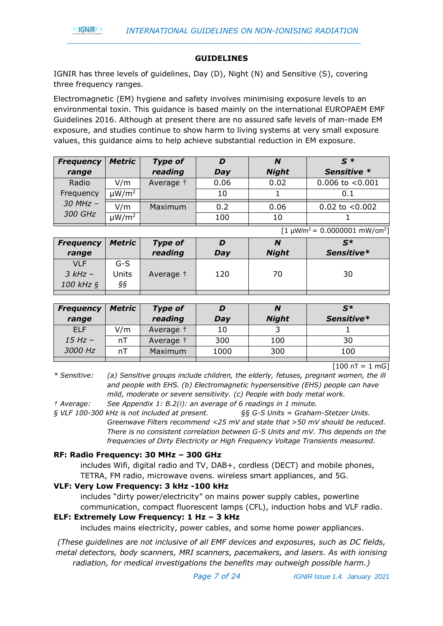

#### **GUIDELINES**

IGNIR has three levels of guidelines, Day (D), Night (N) and Sensitive (S), covering three frequency ranges.

*\_\_\_\_\_\_\_\_\_\_\_\_\_\_\_\_\_\_\_\_\_\_\_\_\_\_\_\_\_\_\_\_\_\_\_\_\_\_\_\_\_\_\_\_\_\_\_\_\_\_\_\_\_\_\_\_\_\_\_\_\_\_*

Electromagnetic (EM) hygiene and safety involves minimising exposure levels to an environmental toxin. This guidance is based mainly on the international EUROPAEM EMF Guidelines 2016. Although at present there are no assured safe levels of man-made EM exposure, and studies continue to show harm to living systems at very small exposure values, this guidance aims to help achieve substantial reduction in EM exposure.

| <b>Frequency</b> | <b>Metric</b>          | <b>Type of</b> |      | N            | $\mathbf{S}^*$       |
|------------------|------------------------|----------------|------|--------------|----------------------|
| range            |                        | reading        | Day  | <b>Night</b> | Sensitive *          |
| Radio            | V/m                    | Average 1      | 0.06 | 0.02         | $0.006$ to $< 0.001$ |
| Frequency        | µW/m <sup>2</sup>      |                | 10   |              | 0.1                  |
| $30$ MHz $-$     | V/m                    | Maximum        | 0.2  | 0.06         | $0.02$ to $< 0.002$  |
| 300 GHz          | $\mu$ W/m <sup>2</sup> |                | 100  | 10           |                      |

|                     |               |                | $[1 \mu W/m^2 = 0.0000001 \ mW/cm^2]$ |              |                |  |
|---------------------|---------------|----------------|---------------------------------------|--------------|----------------|--|
| <b>Frequency</b>    | <b>Metric</b> | <b>Type of</b> |                                       | N            | $\mathbf{S}^*$ |  |
| range               |               | reading        | Day                                   | <b>Night</b> | Sensitive*     |  |
| <b>VLF</b>          | G-S           |                |                                       |              |                |  |
| $3 kHz -$           | <b>Units</b>  | Average +      | 120                                   | 70           | 30             |  |
| 100 kHz $\varsigma$ | ŞŞ            |                |                                       |              |                |  |
|                     |               |                |                                       |              |                |  |

| <b>Frequency</b> | <b>Metric</b> | <b>Type of</b> |      | N            | $S^*$      |
|------------------|---------------|----------------|------|--------------|------------|
| range            |               | reading        | Day  | <b>Night</b> | Sensitive* |
| <b>ELF</b>       | V/m           | Average 1      | 10   |              |            |
| $15 Hz -$        | nT            | Average +      | 300  | 100          | 30         |
| 3000 Hz          | nT            | Maximum        | 1000 | 300          | 100        |
|                  |               |                |      |              |            |

 $[100 nT = 1 mG]$ 

*\* Sensitive: (a) Sensitive groups include children, the elderly, fetuses, pregnant women, the ill and people with EHS. (b) Electromagnetic hypersensitive (EHS) people can have mild, moderate or severe sensitivity. (c) People with body metal work.*

*† Average: See Appendix 1: B.2(i): an average of 6 readings in 1 minute.*

*§ VLF 100-300 kHz is not included at present. §§ G-S Units = Graham-Stetzer Units. Greenwave Filters recommend <25 mV and state that >50 mV should be reduced. There is no consistent correlation between G-S Units and mV. This depends on the frequencies of Dirty Electricity or High Frequency Voltage Transients measured.*

#### **RF: Radio Frequency: 30 MHz – 300 GHz**

includes Wifi, digital radio and TV, DAB+, cordless (DECT) and mobile phones, TETRA, FM radio, microwave ovens. wireless smart appliances, and 5G.

#### **VLF: Very Low Frequency: 3 kHz -100 kHz**

includes "dirty power/electricity" on mains power supply cables, powerline communication, compact fluorescent lamps (CFL), induction hobs and VLF radio.

#### **ELF: Extremely Low Frequency: 1 Hz – 3 kHz**

includes mains electricity, power cables, and some home power appliances.

*(These guidelines are not inclusive of all EMF devices and exposures, such as DC fields, metal detectors, body scanners, MRI scanners, pacemakers, and lasers. As with ionising radiation, for medical investigations the benefits may outweigh possible harm.)*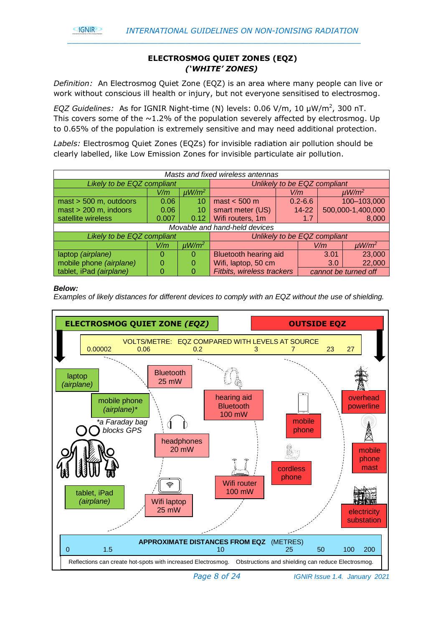

#### **ELECTROSMOG QUIET ZONES (EQZ)**  *('WHITE' ZONES)*

*\_\_\_\_\_\_\_\_\_\_\_\_\_\_\_\_\_\_\_\_\_\_\_\_\_\_\_\_\_\_\_\_\_\_\_\_\_\_\_\_\_\_\_\_\_\_\_\_\_\_\_\_\_\_\_\_\_\_\_\_\_\_*

*Definition:* An Electrosmog Quiet Zone (EQZ) is an area where many people can live or work without conscious ill health or injury, but not everyone sensitised to electrosmog.

*EQZ Guidelines:* As for IGNIR Night-time (N) levels: 0.06 V/m, 10 µW/m<sup>2</sup> , 300 nT. This covers some of the  $\sim$ 1.2% of the population severely affected by electrosmog. Up to 0.65% of the population is extremely sensitive and may need additional protection.

*Labels:* Electrosmog Quiet Zones (EQZs) for invisible radiation air pollution should be clearly labelled, like Low Emission Zones for invisible particulate air pollution.

| Masts and fixed wireless antennas |                               |                        |                               |             |                              |                        |
|-----------------------------------|-------------------------------|------------------------|-------------------------------|-------------|------------------------------|------------------------|
| Likely to be EQZ compliant        |                               |                        |                               |             | Unlikely to be EQZ compliant |                        |
|                                   | V/m                           | $\mu$ W/m <sup>2</sup> |                               | V/m         |                              | $\mu$ W/m <sup>2</sup> |
| $\text{mast}$ > 500 m, outdoors   | 0.06                          | 10                     | $\text{mast} < 500 \text{ m}$ | $0.2 - 6.6$ |                              | 100-103,000            |
| $\text{mast}$ > 200 m, indoors    | 0.06                          | 10                     | smart meter (US)              | $14 - 22$   |                              | 500,000-1,400,000      |
| satellite wireless                | 0.007                         | 0.12                   | Wifi routers, 1m              |             | 1.7                          | 8,000                  |
|                                   | Movable and hand-held devices |                        |                               |             |                              |                        |
| Likely to be EQZ compliant        |                               |                        | Unlikely to be EQZ compliant  |             |                              |                        |
|                                   | V/m                           | $\mu$ W/m <sup>2</sup> |                               |             | V/m                          | $\mu$ W/m <sup>2</sup> |
| laptop (airplane)                 | O                             | O                      | <b>Bluetooth hearing aid</b>  |             | 3.01                         | 23,000                 |
| mobile phone (airplane)           |                               | 0                      | Wifi, laptop, 50 cm           |             | 3.0                          | 22,000                 |
| tablet, iPad (airplane)           |                               |                        | Fitbits, wireless trackers    |             |                              | cannot be turned off   |

#### *Below:*

*Examples of likely distances for different devices to comply with an EQZ without the use of shielding.*

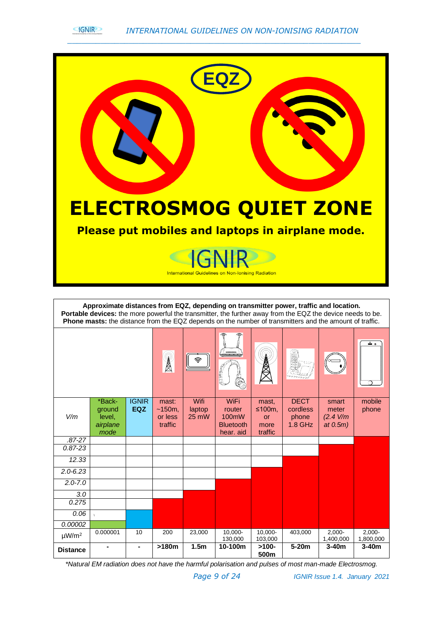



|                        | Approximate distances from EQZ, depending on transmitter power, traffic and location.<br>Portable devices: the more powerful the transmitter, the further away from the EQZ the device needs to be.<br>Phone masts: the distance from the EQZ depends on the number of transmitters and the amount of traffic. |                            |                                       |                                   |                                                                 |                                                     |                                               |                                            |                        |
|------------------------|----------------------------------------------------------------------------------------------------------------------------------------------------------------------------------------------------------------------------------------------------------------------------------------------------------------|----------------------------|---------------------------------------|-----------------------------------|-----------------------------------------------------------------|-----------------------------------------------------|-----------------------------------------------|--------------------------------------------|------------------------|
|                        |                                                                                                                                                                                                                                                                                                                |                            | A                                     |                                   | <b>PELL</b>                                                     |                                                     |                                               |                                            | ہ ت                    |
| V/m                    | *Back-<br>ground<br>level,<br>airplane<br>mode                                                                                                                                                                                                                                                                 | <b>IGNIR</b><br><b>EQZ</b> | mast:<br>~150m.<br>or less<br>traffic | Wifi<br>laptop<br>$25 \text{ mW}$ | <b>WiFi</b><br>router<br>100mW<br><b>Bluetooth</b><br>hear, aid | mast.<br>≤100 $m$ .<br><b>or</b><br>more<br>traffic | <b>DECT</b><br>cordless<br>phone<br>$1.8$ GHz | smart<br>meter<br>(2.4 V/m)<br>at $0.5m$ ) | mobile<br>phone        |
| $.87 - 27$             |                                                                                                                                                                                                                                                                                                                |                            |                                       |                                   |                                                                 |                                                     |                                               |                                            |                        |
| $0.87 - 23$            |                                                                                                                                                                                                                                                                                                                |                            |                                       |                                   |                                                                 |                                                     |                                               |                                            |                        |
| 12.33                  |                                                                                                                                                                                                                                                                                                                |                            |                                       |                                   |                                                                 |                                                     |                                               |                                            |                        |
| $2.0 - 6.23$           |                                                                                                                                                                                                                                                                                                                |                            |                                       |                                   |                                                                 |                                                     |                                               |                                            |                        |
| $2.0 - 7.0$            |                                                                                                                                                                                                                                                                                                                |                            |                                       |                                   |                                                                 |                                                     |                                               |                                            |                        |
| 3.0                    |                                                                                                                                                                                                                                                                                                                |                            |                                       |                                   |                                                                 |                                                     |                                               |                                            |                        |
| 0.275                  |                                                                                                                                                                                                                                                                                                                |                            |                                       |                                   |                                                                 |                                                     |                                               |                                            |                        |
| 0.06                   | $\sqrt{ }$                                                                                                                                                                                                                                                                                                     |                            |                                       |                                   |                                                                 |                                                     |                                               |                                            |                        |
| 0.00002                |                                                                                                                                                                                                                                                                                                                |                            |                                       |                                   |                                                                 |                                                     |                                               |                                            |                        |
| $\mu$ W/m <sup>2</sup> | 0.000001                                                                                                                                                                                                                                                                                                       | 10                         | 200                                   | 23,000                            | $10,000 -$<br>130,000                                           | $10,000 -$<br>103,000                               | 403,000                                       | $2,000 -$<br>1,400,000                     | $2,000 -$<br>1,800,000 |
| <b>Distance</b>        |                                                                                                                                                                                                                                                                                                                |                            | >180m                                 | 1.5 <sub>m</sub>                  | 10-100m                                                         | $>100-$<br>500m                                     | $5-20m$                                       | $3-40m$                                    | $3-40m$                |

*\*Natural EM radiation does not have the harmful polarisation and pulses of most man-made Electrosmog.*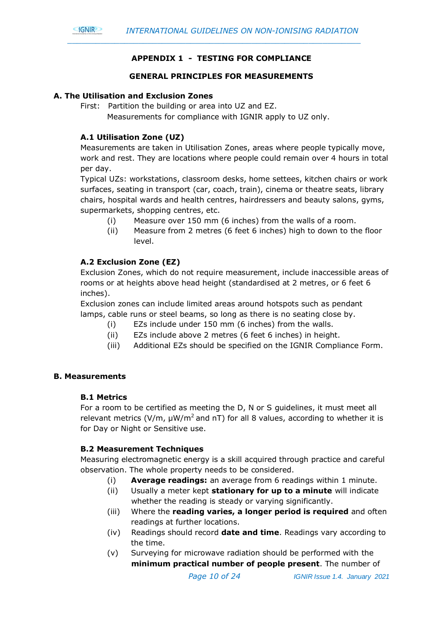#### **APPENDIX 1 - TESTING FOR COMPLIANCE**

#### **GENERAL PRINCIPLES FOR MEASUREMENTS**

#### **A. The Utilisation and Exclusion Zones**

First: Partition the building or area into UZ and EZ.

Measurements for compliance with IGNIR apply to UZ only.

#### **A.1 Utilisation Zone (UZ)**

Measurements are taken in Utilisation Zones, areas where people typically move, work and rest. They are locations where people could remain over 4 hours in total per day.

Typical UZs: workstations, classroom desks, home settees, kitchen chairs or work surfaces, seating in transport (car, coach, train), cinema or theatre seats, library chairs, hospital wards and health centres, hairdressers and beauty salons, gyms, supermarkets, shopping centres, etc.

- (i) Measure over 150 mm (6 inches) from the walls of a room.
- (ii) Measure from 2 metres (6 feet 6 inches) high to down to the floor level.

#### **A.2 Exclusion Zone (EZ)**

Exclusion Zones, which do not require measurement, include inaccessible areas of rooms or at heights above head height (standardised at 2 metres, or 6 feet 6 inches).

Exclusion zones can include limited areas around hotspots such as pendant lamps, cable runs or steel beams, so long as there is no seating close by.

- (i) EZs include under 150 mm (6 inches) from the walls.
- (ii) EZs include above 2 metres (6 feet 6 inches) in height.
- (iii) Additional EZs should be specified on the IGNIR Compliance Form.

#### **B. Measurements**

#### **B.1 Metrics**

For a room to be certified as meeting the D, N or S guidelines, it must meet all relevant metrics (V/m,  $\mu$ W/m<sup>2</sup> and nT) for all 8 values, according to whether it is for Day or Night or Sensitive use.

#### **B.2 Measurement Techniques**

Measuring electromagnetic energy is a skill acquired through practice and careful observation. The whole property needs to be considered.

- (i) **Average readings:** an average from 6 readings within 1 minute.
- (ii) Usually a meter kept **stationary for up to a minute** will indicate whether the reading is steady or varying significantly.
- (iii) Where the **reading varies, a longer period is required** and often readings at further locations.
- (iv) Readings should record **date and time**. Readings vary according to the time.
- (v) Surveying for microwave radiation should be performed with the **minimum practical number of people present**. The number of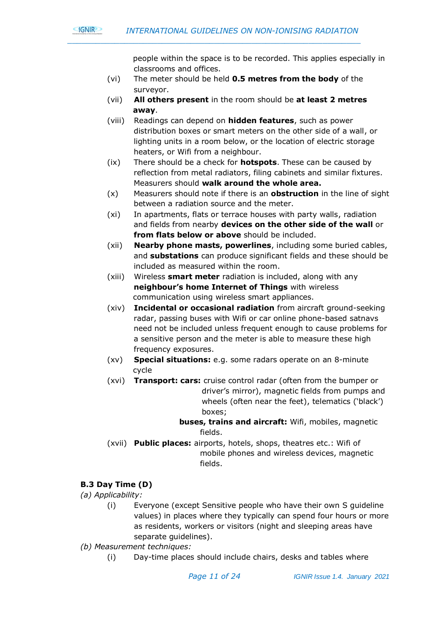people within the space is to be recorded. This applies especially in classrooms and offices.

- (vi) The meter should be held **0.5 metres from the body** of the surveyor.
- (vii) **All others present** in the room should be **at least 2 metres away**.
- (viii) Readings can depend on **hidden features**, such as power distribution boxes or smart meters on the other side of a wall, or lighting units in a room below, or the location of electric storage heaters, or Wifi from a neighbour.
- (ix) There should be a check for **hotspots**. These can be caused by reflection from metal radiators, filing cabinets and similar fixtures. Measurers should **walk around the whole area.**
- (x) Measurers should note if there is an **obstruction** in the line of sight between a radiation source and the meter.
- (xi) In apartments, flats or terrace houses with party walls, radiation and fields from nearby **devices on the other side of the wall** or **from flats below or above** should be included.
- (xii) **Nearby phone masts, powerlines**, including some buried cables, and **substations** can produce significant fields and these should be included as measured within the room.
- (xiii) Wireless **smart meter** radiation is included, along with any **neighbour's home Internet of Things** with wireless communication using wireless smart appliances.
- (xiv) **Incidental or occasional radiation** from aircraft ground-seeking radar, passing buses with Wifi or car online phone-based satnavs need not be included unless frequent enough to cause problems for a sensitive person and the meter is able to measure these high frequency exposures.
- (xv) **Special situations:** e.g. some radars operate on an 8-minute cycle
- (xvi) **Transport: cars:** cruise control radar (often from the bumper or driver's mirror), magnetic fields from pumps and wheels (often near the feet), telematics ('black') boxes;
	- **buses, trains and aircraft:** Wifi, mobiles, magnetic fields.
- (xvii) **Public places:** airports, hotels, shops, theatres etc.: Wifi of mobile phones and wireless devices, magnetic fields.

#### **B.3 Day Time (D)**

*(a) Applicability:* 

**GNIR** 

- (i) Everyone (except Sensitive people who have their own S guideline values) in places where they typically can spend four hours or more as residents, workers or visitors (night and sleeping areas have separate guidelines).
- *(b) Measurement techniques:*
	- (i) Day-time places should include chairs, desks and tables where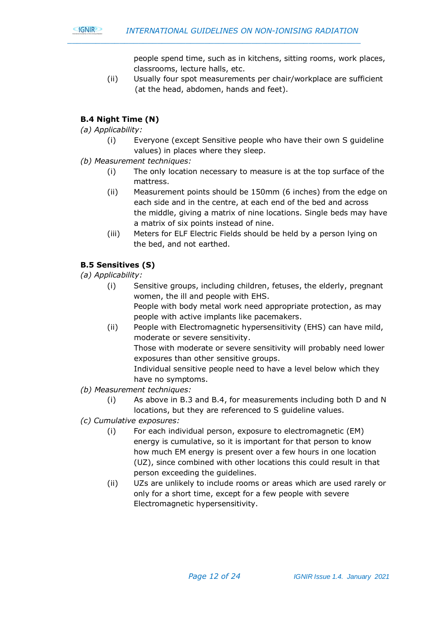

 people spend time, such as in kitchens, sitting rooms, work places, classrooms, lecture halls, etc.

(ii) Usually four spot measurements per chair/workplace are sufficient (at the head, abdomen, hands and feet).

#### **B.4 Night Time (N)**

*(a) Applicability:* 

- (i) Everyone (except Sensitive people who have their own S guideline values) in places where they sleep.
- *(b) Measurement techniques:*
	- (i) The only location necessary to measure is at the top surface of the mattress.
	- (ii) Measurement points should be 150mm (6 inches) from the edge on each side and in the centre, at each end of the bed and across the middle, giving a matrix of nine locations. Single beds may have a matrix of six points instead of nine.
	- (iii) Meters for ELF Electric Fields should be held by a person lying on the bed, and not earthed.

#### **B.5 Sensitives (S)**

*(a) Applicability:* 

- (i) Sensitive groups, including children, fetuses, the elderly, pregnant women, the ill and people with EHS. People with body metal work need appropriate protection, as may people with active implants like pacemakers.
- (ii) People with Electromagnetic hypersensitivity (EHS) can have mild, moderate or severe sensitivity.

Those with moderate or severe sensitivity will probably need lower exposures than other sensitive groups.

Individual sensitive people need to have a level below which they have no symptoms.

- *(b) Measurement techniques:*
	- (i) As above in B.3 and B.4, for measurements including both D and N locations, but they are referenced to S guideline values.
- *(c) Cumulative exposures:*
	- (i) For each individual person, exposure to electromagnetic (EM) energy is cumulative, so it is important for that person to know how much EM energy is present over a few hours in one location (UZ), since combined with other locations this could result in that person exceeding the guidelines.
	- (ii) UZs are unlikely to include rooms or areas which are used rarely or only for a short time, except for a few people with severe Electromagnetic hypersensitivity.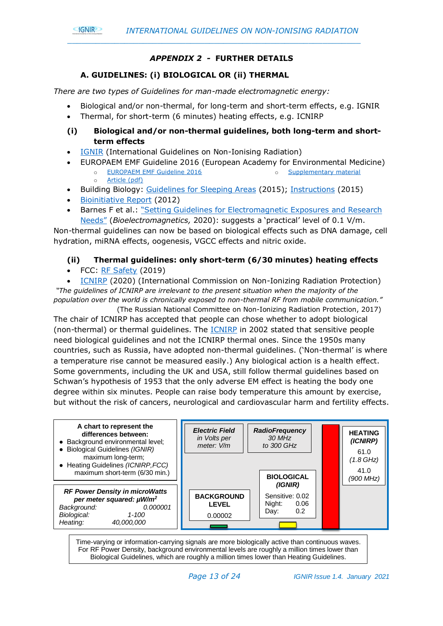

#### *APPENDIX 2 -* **FURTHER DETAILS**

*\_\_\_\_\_\_\_\_\_\_\_\_\_\_\_\_\_\_\_\_\_\_\_\_\_\_\_\_\_\_\_\_\_\_\_\_\_\_\_\_\_\_\_\_\_\_\_\_\_\_\_\_\_\_\_\_\_\_\_\_\_\_*

#### **A. GUIDELINES: (i) BIOLOGICAL OR (ii) THERMAL**

*There are two types of Guidelines for man-made electromagnetic energy:*

- Biological and/or non-thermal, for long-term and short-term effects, e.g. IGNIR
- Thermal, for short-term (6 minutes) heating effects, e.g. ICNIRP
- **(i) Biological and/or non-thermal guidelines, both long-term and shortterm effects**
- [IGNIR](https://www.ignir.org/) (International Guidelines on Non-Ionising Radiation)
- EUROPAEM EMF Guideline 2016 (European Academy for Environmental Medicine)
	- o [EUROPAEM EMF Guideline 2016](https://europaem.eu/en/library/blog-en/97-europaem-emf-guideline-2016) o [Supplementary material](https://www.degruyter.com/view/j/reveh.ahead-of-print/reveh-2016-0011/suppl/reveh-2016-0011_suppl.zip)
	- o [Article \(pdf\)](https://www.degruyter.com/downloadpdf/j/reveh.2016.31.issue-3/reveh-2016-0011/reveh-2016-0011.pdf)
- Building Biology: [Guidelines for Sleeping Areas](https://buildingbiology.com/site/downloads/richtwerte-2015-englisch.pdf) (2015); [Instructions](https://buildingbiology.com/site/downloads/randbedingungen-2015-englisch.pdf) (2015)
- [Bioinitiative Report](http://www.bioinitiative.org/) (2012)
- Barnes F et al.: ["Setting Guidelines for Electromagnetic](https://onlinelibrary.wiley.com/doi/abs/10.1002/bem.22267) Exposures and Research [Needs"](https://onlinelibrary.wiley.com/doi/abs/10.1002/bem.22267) (*Bioelectromagnetics,* 2020): suggests a 'practical' level of 0.1 V/m.

Non-thermal guidelines can now be based on biological effects such as DNA damage, cell hydration, miRNA effects, oogenesis, VGCC effects and nitric oxide.

#### **(ii) Thermal guidelines: only short-term (6/30 minutes) heating effects**

• FCC: [RF Safety](https://www.fcc.gov/general/radio-frequency-safety-0) (2019)

• [ICNIRP](https://www.icnirp.org/cms/upload/publications/ICNIRPrfgdl2020.pdf) (2020) (International Commission on Non-Ionizing Radiation Protection) *"The guidelines of ICNIRP are irrelevant to the present situation when the majority of the population over the world is chronically exposed to non-thermal RF from mobile communication."*

 (The Russian National Committee on Non-Ionizing Radiation Protection, 2017) The chair of ICNIRP has accepted that people can chose whether to adopt biological (non-thermal) or thermal guidelines. The [ICNIRP](https://www.icnirp.org/cms/upload/publications/ICNIRPphilosophy.pdf) in 2002 stated that sensitive people need biological guidelines and not the ICNIRP thermal ones. Since the 1950s many countries, such as Russia, have adopted non-thermal guidelines. ('Non-thermal' is where a temperature rise cannot be measured easily.) Any biological action is a health effect. Some governments, including the UK and USA, still follow thermal guidelines based on Schwan's hypothesis of 1953 that the only adverse EM effect is heating the body one degree within six minutes. People can raise body temperature this amount by exercise, but without the risk of cancers, neurological and cardiovascular harm and fertility effects.



Time-varying or information-carrying signals are more biologically active than continuous waves. For RF Power Density, background environmental levels are roughly a million times lower than Biological Guidelines, which are roughly a million times lower than Heating Guidelines.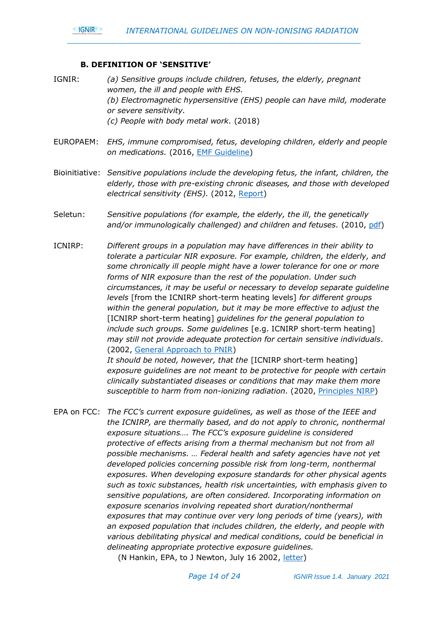#### **B. DEFINITION OF 'SENSITIVE'**

- IGNIR: *(a) Sensitive groups include children, fetuses, the elderly, pregnant women, the ill and people with EHS. (b) Electromagnetic hypersensitive (EHS) people can have mild, moderate or severe sensitivity. (c) People with body metal work.* (2018)
- EUROPAEM: *EHS, immune compromised, fetus, developing children, elderly and people on medications.* (2016, [EMF Guideline\)](https://europaem.eu/en/library/articles/123-europaem-emf-guideline-2016)
- Bioinitiative: *Sensitive populations include the developing fetus, the infant, children, the elderly, those with pre-existing chronic diseases, and those with developed electrical sensitivity (EHS).* (2012, [Report\)](https://bioinitiative.org/)
- Seletun: *Sensitive populations (for example, the elderly, the ill, the genetically and/or immunologically challenged) and children and fetuses.* (2010, [pdf\)](http://emfsafetynetwork.org/wp-content/uploads/2011/07/Seletun-Statement-2010.pdf)
- ICNIRP: *Different groups in a population may have differences in their ability to tolerate a particular NIR exposure. For example, children, the elderly, and some chronically ill people might have a lower tolerance for one or more forms of NIR exposure than the rest of the population. Under such circumstances, it may be useful or necessary to develop separate guideline levels* [from the ICNIRP short-term heating levels] *for different groups within the general population, but it may be more effective to adjust the*  [ICNIRP short-term heating] *guidelines for the general population to include such groups. Some guidelines* [e.g. ICNIRP short-term heating] *may still not provide adequate protection for certain sensitive individuals.* (2002, [General Approach to PNIR\)](https://www.icnirp.org/cms/upload/publications/ICNIRPphilosophy.pdf)

*It should be noted, however, that the* [ICNIRP short-term heating] *exposure guidelines are not meant to be protective for people with certain clinically substantiated diseases or conditions that may make them more susceptible to harm from non-ionizing radiation.* (2020, [Principles NIRP\)](https://www.icnirp.org/cms/upload/publications/ICNIRPprinciples2020.pdf)

EPA on FCC: *The FCC's current exposure guidelines, as well as those of the IEEE and the ICNIRP, are thermally based, and do not apply to chronic, nonthermal exposure situations…. The FCC's exposure guideline is considered protective of effects arising from a thermal mechanism but not from all possible mechanisms. … Federal health and safety agencies have not yet developed policies concerning possible risk from long-term, nonthermal exposures. When developing exposure standards for other physical agents such as toxic substances, health risk uncertainties, with emphasis given to sensitive populations, are often considered. Incorporating information on exposure scenarios involving repeated short duration/nonthermal exposures that may continue over very long periods of time (years), with an exposed population that includes children, the elderly, and people with various debilitating physical and medical conditions, could be beneficial in delineating appropriate protective exposure guidelines.* 

(N Hankin, EPA, to J Newton, July 16 2002, [letter\)](http://www.emrpolicy.org/litigation/case_law/docs/noi_epa_response.pdf)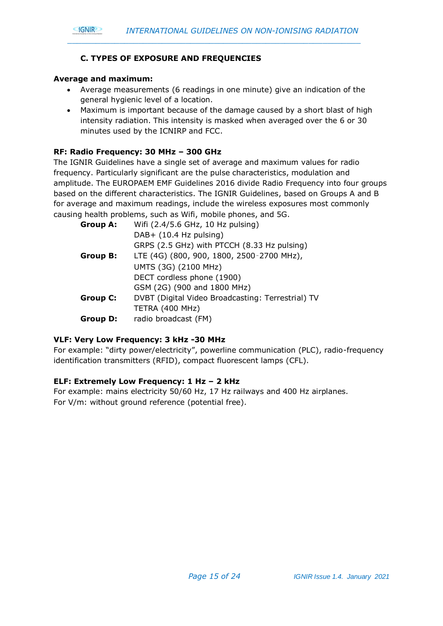

#### **C. TYPES OF EXPOSURE AND FREQUENCIES**

#### **Average and maximum:**

- Average measurements (6 readings in one minute) give an indication of the general hygienic level of a location.
- Maximum is important because of the damage caused by a short blast of high intensity radiation. This intensity is masked when averaged over the 6 or 30 minutes used by the ICNIRP and FCC.

#### **RF: Radio Frequency: 30 MHz – 300 GHz**

The IGNIR Guidelines have a single set of average and maximum values for radio frequency. Particularly significant are the pulse characteristics, modulation and amplitude. The EUROPAEM EMF Guidelines 2016 divide Radio Frequency into four groups based on the different characteristics. The IGNIR Guidelines, based on Groups A and B for average and maximum readings, include the wireless exposures most commonly causing health problems, such as Wifi, mobile phones, and 5G.

| <b>Group A:</b> | Wifi (2.4/5.6 GHz, 10 Hz pulsing)                 |
|-----------------|---------------------------------------------------|
|                 | DAB+ (10.4 Hz pulsing)                            |
|                 | GRPS (2.5 GHz) with PTCCH (8.33 Hz pulsing)       |
| <b>Group B:</b> | LTE (4G) (800, 900, 1800, 2500-2700 MHz),         |
|                 | UMTS (3G) (2100 MHz)                              |
|                 | DECT cordless phone (1900)                        |
|                 | GSM (2G) (900 and 1800 MHz)                       |
| <b>Group C:</b> | DVBT (Digital Video Broadcasting: Terrestrial) TV |
|                 | TETRA (400 MHz)                                   |
| <b>Group D:</b> | radio broadcast (FM)                              |

#### **VLF: Very Low Frequency: 3 kHz -30 MHz**

For example: "dirty power/electricity", powerline communication (PLC), radio-frequency identification transmitters (RFID), compact fluorescent lamps (CFL).

#### **ELF: Extremely Low Frequency: 1 Hz – 2 kHz**

For example: mains electricity 50/60 Hz, 17 Hz railways and 400 Hz airplanes. For V/m: without ground reference (potential free).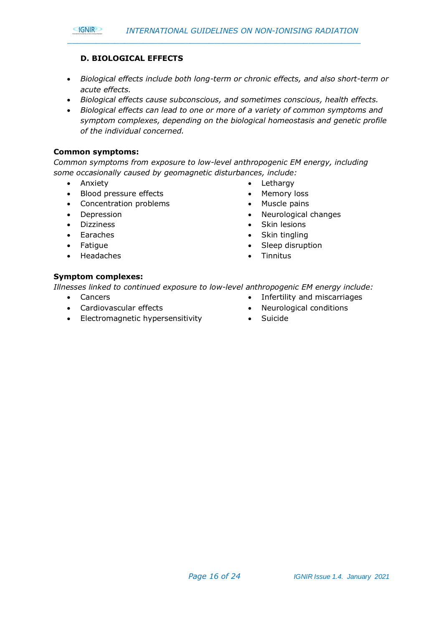#### **D. BIOLOGICAL EFFECTS**

- *Biological effects include both long-term or chronic effects, and also short-term or acute effects.*
- *Biological effects cause subconscious, and sometimes conscious, health effects.*

*\_\_\_\_\_\_\_\_\_\_\_\_\_\_\_\_\_\_\_\_\_\_\_\_\_\_\_\_\_\_\_\_\_\_\_\_\_\_\_\_\_\_\_\_\_\_\_\_\_\_\_\_\_\_\_\_\_\_\_\_\_\_*

• *Biological effects can lead to one or more of a variety of common symptoms and symptom complexes, depending on the biological homeostasis and genetic profile of the individual concerned.*

#### **Common symptoms:**

*Common symptoms from exposure to low-level anthropogenic EM energy, including some occasionally caused by geomagnetic disturbances, include:*

• Anxiety

**GNIR** 

- Blood pressure effects
- Concentration problems
- Depression
- Dizziness
- Earaches
- Fatigue
- Headaches
- Lethargy
- Memory loss
- Muscle pains
- Neurological changes
- Skin lesions
- Skin tingling
- Sleep disruption
- Tinnitus

#### **Symptom complexes:**

*Illnesses linked to continued exposure to low-level anthropogenic EM energy include:*

- Cancers
- Cardiovascular effects
- Electromagnetic hypersensitivity
- Neurological conditions

• Infertility and miscarriages

• Suicide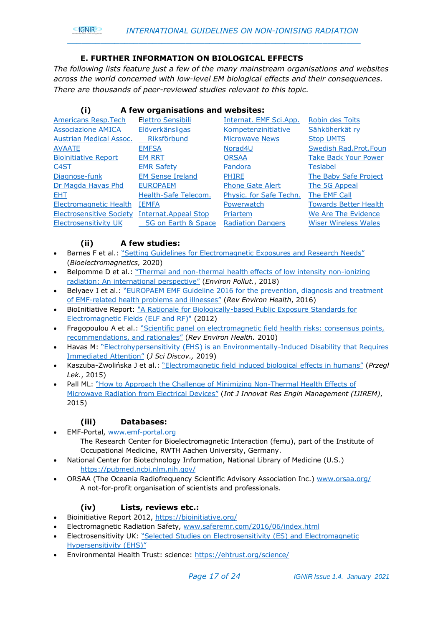

#### **E. FURTHER INFORMATION ON BIOLOGICAL EFFECTS**

*The following lists feature just a few of the many mainstream organisations and websites across the world concerned with low-level EM biological effects and their consequences. There are thousands of peer-reviewed studies relevant to this topic.*

#### **(i) A few organisations and websites:**

| <b>Americans Resp. Tech</b>     | Elettro Sensibili           | Internat. EMF Sci.App.   | Robin des Toits              |
|---------------------------------|-----------------------------|--------------------------|------------------------------|
| <b>Associazione AMICA</b>       | Elöverkänsligas             | Kompetenzinitiative      | Sähköherkät rv               |
| Austrian Medical Assoc.         | Riksförbund                 | <b>Microwave News</b>    | <b>Stop UMTS</b>             |
| <b>AVAATE</b>                   | <b>EMFSA</b>                | Norad <sub>4U</sub>      | Swedish Rad.Prot.Foun        |
| <b>Bioinitiative Report</b>     | <b>EM RRT</b>               | <b>ORSAA</b>             | <b>Take Back Your Power</b>  |
| <u>C4ST</u>                     | <b>EMR Safety</b>           | <u>Pandora</u>           | <b>Teslabel</b>              |
| Diagnose-funk                   | <b>EM Sense Ireland</b>     | <b>PHIRE</b>             | The Baby Safe Project        |
| Dr Magda Havas Phd              | <b>EUROPAEM</b>             | <b>Phone Gate Alert</b>  | The 5G Appeal                |
| EHT.                            | Health-Safe Telecom.        | Physic. for Safe Techn.  | The EMF Call                 |
| <b>Electromagnetic Health</b>   | <b>IEMFA</b>                | Powerwatch               | <b>Towards Better Health</b> |
| <b>Electrosensitive Society</b> | <b>Internat.Appeal Stop</b> | Priartem                 | We Are The Evidence          |
| <b>Electrosensitivity UK</b>    | 5G on Earth & Space         | <b>Radiation Dangers</b> | <b>Wiser Wireless Wales</b>  |
|                                 |                             |                          |                              |

#### **(ii) A few studies:**

- Barnes F et al.: ["Setting Guidelines for Electromagnetic Exposures and Research Needs"](https://onlinelibrary.wiley.com/doi/abs/10.1002/bem.22267) (*Bioelectromagnetics,* 2020)
- Belpomme D et al.: "Thermal and non[-thermal health effects of low intensity non-ionizing](https://www.sciencedirect.com/science/article/pii/S0269749118310157?via%3Dihub)  [radiation: An international perspective"](https://www.sciencedirect.com/science/article/pii/S0269749118310157?via%3Dihub) (*Environ Pollut.*, 2018)
- Belyaev I et al.: ["EUROPAEM EMF Guideline 2016 for the prevention, diagnosis and treatment](https://www.degruyter.com/downloadpdf/j/reveh.2016.31.issue-3/reveh-2016-0011/reveh-2016-0011.pdf)  of EMF-[related health problems and illnesses"](https://www.degruyter.com/downloadpdf/j/reveh.2016.31.issue-3/reveh-2016-0011/reveh-2016-0011.pdf) (*Rev Environ Health*, 2016)
- BioInitiative Report: ["A Rationale for Biologically-based Public Exposure Standards for](http://www.bioinitiative.org/)  [Electromagnetic Fields \(ELF and RF\)"](http://www.bioinitiative.org/) (2012)
- Fragopoulou A et al.: "Scientific panel on electromagnetic field health risks: consensus points, [recommendations, and rationales"](http://emfsafetynetwork.org/wp-content/uploads/2011/07/Seletun-Statement-2010.pdf) (*Rev Environ Health.* 2010)
- Havas M: ["Electrohypersensitivity \(EHS\) is an Environmentally](http://www.e-discoverypublication.com/wp-content/uploads/2019/03/JSD18020-final.pdf)-Induced Disability that Requires [Immediated Attention"](http://www.e-discoverypublication.com/wp-content/uploads/2019/03/JSD18020-final.pdf) (*J Sci Discov.,* 2019)
- Kaszuba-Zwolińska J et al.: ["Electromagnetic field induced biological effects in humans"](http://wple.net/plek/numery_2015/numer-11-2015/636-641.pdf) (*Przegl Lek.*, 2015)
- Pall ML: ["How to Approach the Challenge of Minimizing Non](http://www.ijirem.org/DOC/13_%20IREM227eae34922-5dfb-469c-8b9a-1b1582fb0e8b.pdf)-Thermal Health Effects of [Microwave Radiation from Electrical Devices"](http://www.ijirem.org/DOC/13_%20IREM227eae34922-5dfb-469c-8b9a-1b1582fb0e8b.pdf) (*Int J Innovat Res Engin Management (IJIREM)*, 2015)

#### **(iii) Databases:**

- EMF-Portal, [www.emf-portal.org](http://www.emf-portal.org/) The Research Center for Bioelectromagnetic Interaction (femu), part of the Institute of Occupational Medicine, RWTH Aachen University, Germany.
- National Center for Biotechnology Information, National Library of Medicine (U.S.) <https://pubmed.ncbi.nlm.nih.gov/>
- ORSAA (The Oceania Radiofrequency Scientific Advisory Association Inc.) [www.orsaa.org/](http://www.orsaa.org/) A not-for-profit organisation of scientists and professionals.

#### **(iv) Lists, reviews etc.:**

- Bioinitiative Report 2012,<https://bioinitiative.org/>
- Electromagnetic Radiation Safety, [www.saferemr.com/2016/06/index.html](http://www.saferemr.com/2016/06/index.html)
- Electrosensitivity UK: "Selected [Studies on Electrosensitivity \(ES\) and Electromagnetic](http://www.es-uk.info/wp-content/uploads/2018/05/Selected%20ES%20and%20EHS%20studies.pdf)  [Hypersensitivity \(EHS\)"](http://www.es-uk.info/wp-content/uploads/2018/05/Selected%20ES%20and%20EHS%20studies.pdf)
- Environmental Health Trust: science:<https://ehtrust.org/science/>

*Page 17 of 24 IGNIR Issue 1.4. January 2021*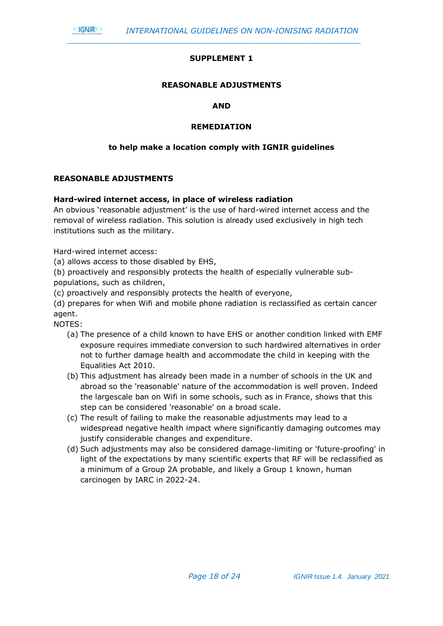#### **SUPPLEMENT 1**

*\_\_\_\_\_\_\_\_\_\_\_\_\_\_\_\_\_\_\_\_\_\_\_\_\_\_\_\_\_\_\_\_\_\_\_\_\_\_\_\_\_\_\_\_\_\_\_\_\_\_\_\_\_\_\_\_\_\_\_\_\_\_*

#### **REASONABLE ADJUSTMENTS**

#### **AND**

#### **REMEDIATION**

#### **to help make a location comply with IGNIR guidelines**

#### **REASONABLE ADJUSTMENTS**

**GNIR** 

#### **Hard-wired internet access, in place of wireless radiation**

An obvious 'reasonable adjustment' is the use of hard-wired internet access and the removal of wireless radiation. This solution is already used exclusively in high tech institutions such as the military.

Hard-wired internet access:

(a) allows access to those disabled by EHS,

(b) proactively and responsibly protects the health of especially vulnerable subpopulations, such as children,

(c) proactively and responsibly protects the health of everyone,

(d) prepares for when Wifi and mobile phone radiation is reclassified as certain cancer agent.

NOTES:

- (a) The presence of a child known to have EHS or another condition linked with EMF exposure requires immediate conversion to such hardwired alternatives in order not to further damage health and accommodate the child in keeping with the Equalities Act 2010.
- (b) This adjustment has already been made in a number of schools in the UK and abroad so the 'reasonable' nature of the accommodation is well proven. Indeed the largescale ban on Wifi in some schools, such as in France, shows that this step can be considered 'reasonable' on a broad scale.
- (c) The result of failing to make the reasonable adjustments may lead to a widespread negative health impact where significantly damaging outcomes may justify considerable changes and expenditure.
- (d) Such adjustments may also be considered damage-limiting or 'future-proofing' in light of the expectations by many scientific experts that RF will be reclassified as a minimum of a Group 2A probable, and likely a Group 1 known, human carcinogen by IARC in 2022-24.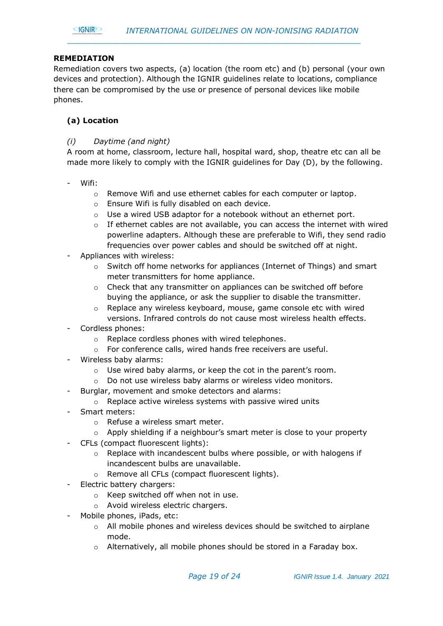#### **REMEDIATION**

Remediation covers two aspects, (a) location (the room etc) and (b) personal (your own devices and protection). Although the IGNIR guidelines relate to locations, compliance there can be compromised by the use or presence of personal devices like mobile phones.

#### **(a) Location**

#### *(i) Daytime (and night)*

A room at home, classroom, lecture hall, hospital ward, shop, theatre etc can all be made more likely to comply with the IGNIR guidelines for Day (D), by the following.

- Wifi:
	- o Remove Wifi and use ethernet cables for each computer or laptop.
	- o Ensure Wifi is fully disabled on each device.
	- Use a wired USB adaptor for a notebook without an ethernet port.
	- $\circ$  If ethernet cables are not available, you can access the internet with wired powerline adapters. Although these are preferable to Wifi, they send radio frequencies over power cables and should be switched off at night.
- Appliances with wireless:
	- $\circ$  Switch off home networks for appliances (Internet of Things) and smart meter transmitters for home appliance.
	- $\circ$  Check that any transmitter on appliances can be switched off before buying the appliance, or ask the supplier to disable the transmitter.
	- o Replace any wireless keyboard, mouse, game console etc with wired versions. Infrared controls do not cause most wireless health effects.
- Cordless phones:
	- o Replace cordless phones with wired telephones.
	- o For conference calls, wired hands free receivers are useful.
- Wireless baby alarms:
	- o Use wired baby alarms, or keep the cot in the parent's room.
	- o Do not use wireless baby alarms or wireless video monitors.
- Burglar, movement and smoke detectors and alarms:
- o Replace active wireless systems with passive wired units
- Smart meters:
	- o Refuse a wireless smart meter.
	- o Apply shielding if a neighbour's smart meter is close to your property
- CFLs (compact fluorescent lights):
	- $\circ$  Replace with incandescent bulbs where possible, or with halogens if incandescent bulbs are unavailable.
	- o Remove all CFLs (compact fluorescent lights).
- Electric battery chargers:
	- o Keep switched off when not in use.
	- o Avoid wireless electric chargers.
- Mobile phones, iPads, etc:
	- o All mobile phones and wireless devices should be switched to airplane mode.
	- o Alternatively, all mobile phones should be stored in a Faraday box.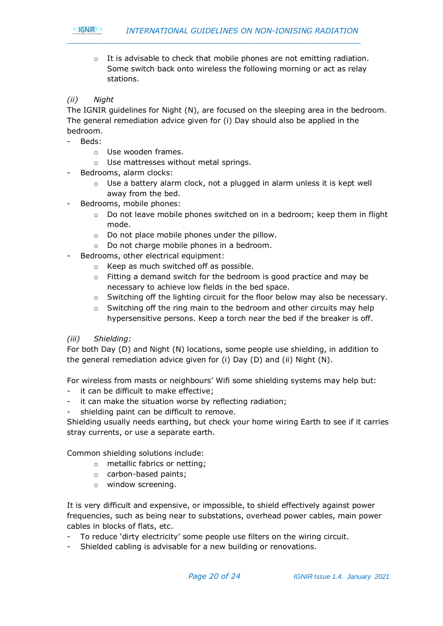

 $\circ$  It is advisable to check that mobile phones are not emitting radiation. Some switch back onto wireless the following morning or act as relay stations.

*\_\_\_\_\_\_\_\_\_\_\_\_\_\_\_\_\_\_\_\_\_\_\_\_\_\_\_\_\_\_\_\_\_\_\_\_\_\_\_\_\_\_\_\_\_\_\_\_\_\_\_\_\_\_\_\_\_\_\_\_\_\_*

#### *(ii) Night*

The IGNIR guidelines for Night (N), are focused on the sleeping area in the bedroom. The general remediation advice given for (i) Day should also be applied in the bedroom.

- Beds:
	- o Use wooden frames.
	- o Use mattresses without metal springs.
- Bedrooms, alarm clocks:
	- o Use a battery alarm clock, not a plugged in alarm unless it is kept well away from the bed.
- Bedrooms, mobile phones:
	- $\circ$  Do not leave mobile phones switched on in a bedroom; keep them in flight mode.
	- $\circ$  Do not place mobile phones under the pillow.
	- o Do not charge mobile phones in a bedroom.
- Bedrooms, other electrical equipment:
	- o Keep as much switched off as possible.
	- o Fitting a demand switch for the bedroom is good practice and may be necessary to achieve low fields in the bed space.
	- $\circ$  Switching off the lighting circuit for the floor below may also be necessary.
	- $\circ$  Switching off the ring main to the bedroom and other circuits may help hypersensitive persons. Keep a torch near the bed if the breaker is off.

#### *(iii) Shielding:*

For both Day (D) and Night (N) locations, some people use shielding, in addition to the general remediation advice given for (i) Day (D) and (ii) Night (N).

For wireless from masts or neighbours' Wifi some shielding systems may help but:

- it can be difficult to make effective;
- it can make the situation worse by reflecting radiation;
- shielding paint can be difficult to remove.

Shielding usually needs earthing, but check your home wiring Earth to see if it carries stray currents, or use a separate earth.

Common shielding solutions include:

- o metallic fabrics or netting;
- o carbon-based paints;
- o window screening.

It is very difficult and expensive, or impossible, to shield effectively against power frequencies, such as being near to substations, overhead power cables, main power cables in blocks of flats, etc.

- To reduce 'dirty electricity' some people use filters on the wiring circuit.
- Shielded cabling is advisable for a new building or renovations.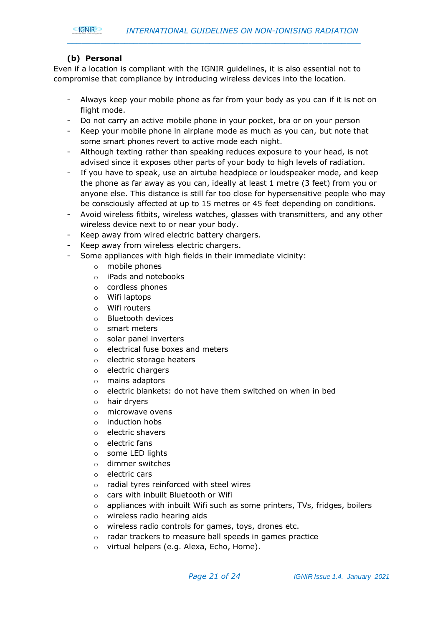

#### **(b) Personal**

Even if a location is compliant with the IGNIR guidelines, it is also essential not to compromise that compliance by introducing wireless devices into the location.

- Always keep your mobile phone as far from your body as you can if it is not on flight mode.
- Do not carry an active mobile phone in your pocket, bra or on your person
- Keep your mobile phone in airplane mode as much as you can, but note that some smart phones revert to active mode each night.
- Although texting rather than speaking reduces exposure to your head, is not advised since it exposes other parts of your body to high levels of radiation.
- If you have to speak, use an airtube headpiece or loudspeaker mode, and keep the phone as far away as you can, ideally at least 1 metre (3 feet) from you or anyone else. This distance is still far too close for hypersensitive people who may be consciously affected at up to 15 metres or 45 feet depending on conditions.
- Avoid wireless fitbits, wireless watches, glasses with transmitters, and any other wireless device next to or near your body.
- Keep away from wired electric battery chargers.
- Keep away from wireless electric chargers.
- Some appliances with high fields in their immediate vicinity:
	- o mobile phones
	- o iPads and notebooks
	- o cordless phones
	- o Wifi laptops
	- o Wifi routers
	- o Bluetooth devices
	- o smart meters
	- o solar panel inverters
	- o electrical fuse boxes and meters
	- o electric storage heaters
	- o electric chargers
	- o mains adaptors
	- o electric blankets: do not have them switched on when in bed
	- o hair dryers
	- o microwave ovens
	- $\circ$  induction hobs
	- o electric shavers
	- o electric fans
	- o some LED lights
	- o dimmer switches
	- o electric cars
	- o radial tyres reinforced with steel wires
	- o cars with inbuilt Bluetooth or Wifi
	- o appliances with inbuilt Wifi such as some printers, TVs, fridges, boilers
	- o wireless radio hearing aids
	- o wireless radio controls for games, toys, drones etc.
	- o radar trackers to measure ball speeds in games practice
	- o virtual helpers (e.g. Alexa, Echo, Home).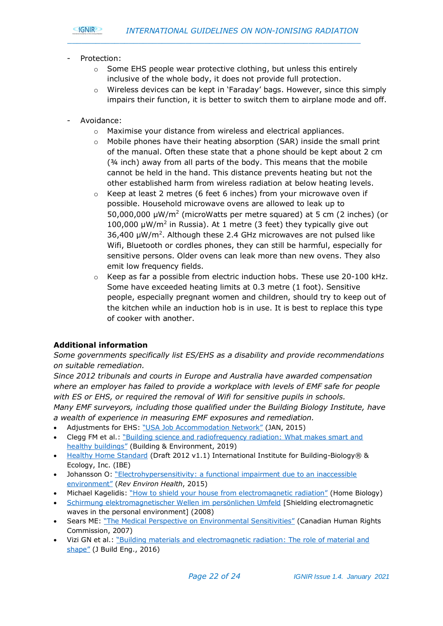

- Protection:
	- o Some EHS people wear protective clothing, but unless this entirely inclusive of the whole body, it does not provide full protection.

- $\circ$  Wireless devices can be kept in 'Faraday' bags. However, since this simply impairs their function, it is better to switch them to airplane mode and off.
- Avoidance:
	- o Maximise your distance from wireless and electrical appliances.
	- o Mobile phones have their heating absorption (SAR) inside the small print of the manual. Often these state that a phone should be kept about 2 cm  $(34$  inch) away from all parts of the body. This means that the mobile cannot be held in the hand. This distance prevents heating but not the other established harm from wireless radiation at below heating levels.
	- Keep at least 2 metres (6 feet 6 inches) from your microwave oven if possible. Household microwave ovens are allowed to leak up to  $50,000,000 \mu W/m^2$  (microWatts per metre squared) at 5 cm (2 inches) (or 100,000  $\mu$ W/m<sup>2</sup> in Russia). At 1 metre (3 feet) they typically give out 36,400  $\mu$ W/m<sup>2</sup>. Although these 2.4 GHz microwaves are not pulsed like Wifi, Bluetooth or cordles phones, they can still be harmful, especially for sensitive persons. Older ovens can leak more than new ovens. They also emit low frequency fields.
	- $\circ$  Keep as far a possible from electric induction hobs. These use 20-100 kHz. Some have exceeded heating limits at 0.3 metre (1 foot). Sensitive people, especially pregnant women and children, should try to keep out of the kitchen while an induction hob is in use. It is best to replace this type of cooker with another.

#### **Additional information**

*Some governments specifically list ES/EHS as a disability and provide recommendations on suitable remediation.* 

*Since 2012 tribunals and courts in Europe and Australia have awarded compensation where an employer has failed to provide a workplace with levels of EMF safe for people with ES or EHS, or required the removal of Wifi for sensitive pupils in schools. Many EMF surveyors, including those qualified under the Building Biology Institute, have a wealth of experience in measuring EMF exposures and remediation.*

- Adjustments for EHS: ["USA Job Accommodation Network"](https://ehtrust.org/wp-content/uploads/JAN-EHS-1.pdf) (JAN, 2015)
- Clegg FM et al.: ["Building science and radiofrequency radiation: What makes smart and](https://www.sciencedirect.com/science/article/pii/S0360132319305347?via%3Dihub)  [healthy buildings"](https://www.sciencedirect.com/science/article/pii/S0360132319305347?via%3Dihub) (Building & Environment, 2019)
- [Healthy Home Standard](https://buildingbiologyinstitute.org/wp-content/uploads/2019/03/HHStandard2012.pdf) (Draft 2012 v1.1) International Institute for Building-Biology® & Ecology, Inc. (IBE)
- Johansson O: ["Electrohypersensitivity: a](http://www.bemri.org/publications/electrosensitivity/464-johansson-2015-functional-impairment/file.html) functional impairment due to an inaccessible [environment"](http://www.bemri.org/publications/electrosensitivity/464-johansson-2015-functional-impairment/file.html) (*Rev Environ Health*, 2015)
- Michael Kagelidis: ["How to shield your house from electromagnetic radiation"](https://www.home-biology.com/electromagnetic-shielding-guide/how-to-shield-your-house-from-eleectromagnetic-fields) (Home Biology)
- [Schirmung elektromagnetischer Wellen im persönlichen Umfeld](https://www.diagnose-funk.org/download.php?field=filename&id=298&class=DownloadItem) [Shielding electromagnetic waves in the personal environment] (2008)
- Sears ME: ["The Medical Perspective on Environmental Sensitivities"](https://www.chrc-ccdp.gc.ca/sites/default/files/envsensitivity_en.pdf) (Canadian Human Rights Commission, 2007)
- Vizi GN et al.: ["Building materials and electromagnetic radiation](https://www.google.co.uk/url?sa=t&rct=j&q=&esrc=s&source=web&cd=1&cad=rja&uact=8&ved=0ahUKEwi96ZymhdPYAhXKAcAKHXz9Be8QFggpMAA&url=http%3A%2F%2Fwww.stopsmartmetersbc.com%2Fwp-content%2Fuploads%2F2017%2F01%2FBuilding-materials-and-EMR-The-role-of-material-and-shape-by-Vizi-Vandenbosch.pdf&usg=AOvVaw2HbfsBrBqGm4JHh2Ri4cON): The role of material and [shape"](https://www.google.co.uk/url?sa=t&rct=j&q=&esrc=s&source=web&cd=1&cad=rja&uact=8&ved=0ahUKEwi96ZymhdPYAhXKAcAKHXz9Be8QFggpMAA&url=http%3A%2F%2Fwww.stopsmartmetersbc.com%2Fwp-content%2Fuploads%2F2017%2F01%2FBuilding-materials-and-EMR-The-role-of-material-and-shape-by-Vizi-Vandenbosch.pdf&usg=AOvVaw2HbfsBrBqGm4JHh2Ri4cON) (J Build Eng., 2016)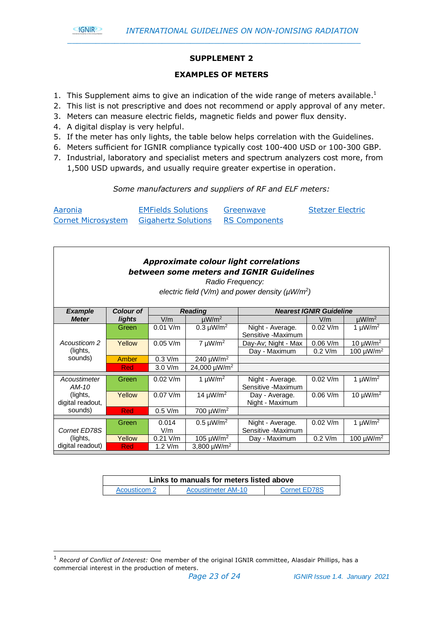

#### **SUPPLEMENT 2**

*\_\_\_\_\_\_\_\_\_\_\_\_\_\_\_\_\_\_\_\_\_\_\_\_\_\_\_\_\_\_\_\_\_\_\_\_\_\_\_\_\_\_\_\_\_\_\_\_\_\_\_\_\_\_\_\_\_\_\_\_\_\_*

#### **EXAMPLES OF METERS**

- 1. This Supplement aims to give an indication of the wide range of meters available.<sup>1</sup>
- 2. This list is not prescriptive and does not recommend or apply approval of any meter.
- 3. Meters can measure electric fields, magnetic fields and power flux density.
- 4. A digital display is very helpful.
- 5. If the meter has only lights, the table below helps correlation with the Guidelines.
- 6. Meters sufficient for IGNIR compliance typically cost 100-400 USD or 100-300 GBP.
- 7. Industrial, laboratory and specialist meters and spectrum analyzers cost more, from 1,500 USD upwards, and usually require greater expertise in operation.

#### *Some manufacturers and suppliers of RF and ELF meters:*

| Aaronia | <b>EMFields Solutions</b>                                   | Greenwave | <b>Stetzer Electric</b> |
|---------|-------------------------------------------------------------|-----------|-------------------------|
|         | <b>Cornet Microsystem Gigahertz Solutions RS Components</b> |           |                         |

| <b>Approximate colour light correlations</b><br>between some meters and IGNIR Guidelines<br>Radio Frequency:<br>electric field (V/m) and power density ( $\mu$ W/m <sup>2</sup> ) |                  |              |                              |                                        |                                |                            |
|-----------------------------------------------------------------------------------------------------------------------------------------------------------------------------------|------------------|--------------|------------------------------|----------------------------------------|--------------------------------|----------------------------|
| <b>Example</b>                                                                                                                                                                    | <b>Colour of</b> |              | <b>Reading</b>               |                                        | <b>Nearest IGNIR Guideline</b> |                            |
| <b>Meter</b>                                                                                                                                                                      | lights           | V/m          | $\mu W/m^2$                  |                                        | V/m                            | $\mu$ W/m <sup>2</sup>     |
|                                                                                                                                                                                   | Green            | $0.01$ V/m   | $0.3 \mu W/m^2$              | Night - Average.<br>Sensitive -Maximum | $0.02$ V/m                     | 1 $\mu$ W/m <sup>2</sup>   |
| Acousticom 2                                                                                                                                                                      | Yellow           | $0.05$ V/m   | $7 \mu W/m^2$                | Day-Av; Night - Max                    | $0.06$ V/m                     | 10 $\mu$ W/m <sup>2</sup>  |
| (lights,                                                                                                                                                                          |                  |              |                              | Day - Maximum                          | $0.2$ V/m                      | 100 $\mu$ W/m <sup>2</sup> |
| sounds)                                                                                                                                                                           | Amber            | $0.3$ V/m    | 240 $\mu$ W/m <sup>2</sup>   |                                        |                                |                            |
|                                                                                                                                                                                   | Red              | 3.0 V/m      | 24,000 µW/m <sup>2</sup>     |                                        |                                |                            |
| Acoustimeter<br>$AM-10$                                                                                                                                                           | Green            | $0.02$ V/m   | 1 $\mu$ W/m <sup>2</sup>     | Night - Average.<br>Sensitive -Maximum | $0.02$ V/m                     | 1 $\mu$ W/m <sup>2</sup>   |
| (lights,<br>digital readout,                                                                                                                                                      | Yellow           | $0.07$ V/m   | 14 $\mu$ W/m <sup>2</sup>    | Day - Average.<br>Night - Maximum      | $0.06$ V/m                     | 10 $\mu$ W/m <sup>2</sup>  |
| sounds)                                                                                                                                                                           | <b>Red</b>       | $0.5$ V/m    | 700 µW/m <sup>2</sup>        |                                        |                                |                            |
| Cornet ED78S                                                                                                                                                                      | Green            | 0.014<br>V/m | $0.5 \mu W/m^2$              | Night - Average.<br>Sensitive -Maximum | $0.02$ V/m                     | 1 $\mu$ W/m <sup>2</sup>   |
| (lights,                                                                                                                                                                          | Yellow           | $0.21$ V/m   | 105 $\mu$ W/m <sup>2</sup>   | Day - Maximum                          | $0.2$ V/m                      | 100 $\mu$ W/m <sup>2</sup> |
| digital readout)                                                                                                                                                                  | Red              | $1.2$ V/m    | 3,800 $\mu$ W/m <sup>2</sup> |                                        |                                |                            |

| Links to manuals for meters listed above |                    |              |  |  |
|------------------------------------------|--------------------|--------------|--|--|
| Acousticom 2                             | Acoustimeter AM-10 | Cornet ED78S |  |  |

<sup>1</sup> *Record of Conflict of Interest:* One member of the original IGNIR committee, Alasdair Phillips, has a commercial interest in the production of meters.